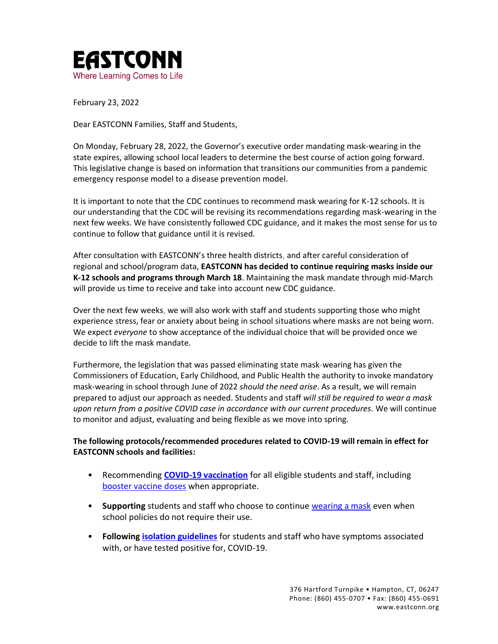

February 23, 2022

Dear EASTCONN Families, Staff and Students,

On Monday, February 28, 2022, the Governor's executive order mandating mask-wearing in the state expires, allowing school local leaders to determine the best course of action going forward. This legislative change is based on information that transitions our communities from a pandemic emergency response model to a disease prevention model.

It is important to note that the CDC continues to recommend mask wearing for K-12 schools. It is our understanding that the CDC will be revising its recommendations regarding mask-wearing in the next few weeks. We have consistently followed CDC guidance, and it makes the most sense for us to continue to follow that guidance until it is revised.

After consultation with EASTCONN's three health districts, and after careful consideration of regional and school/program data, **EASTCONN has decided to continue requiring masks inside our K-12 schools and programs through March 18**. Maintaining the mask mandate through mid-March will provide us time to receive and take into account new CDC guidance.

Over the next few weeks, we will also work with staff and students supporting those who might experience stress, fear or anxiety about being in school situations where masks are not being worn. We expect *everyone* to show acceptance of the individual choice that will be provided once we decide to lift the mask mandate.

Furthermore, the legislation that was passed eliminating state mask-wearing has given the Commissioners of Education, Early Childhood, and Public Health the authority to invoke mandatory mask-wearing in school through June of 2022 *should the need arise*. As a result, we will remain prepared to adjust our approach as needed. Students and staff *will still be required to wear a mask upon return from a positive COVID case in accordance with our current procedures.* We will continue to monitor and adjust, evaluating and being flexible as we move into spring.

## **The following protocols/recommended procedures related to COVID-19 will remain in effect for EASTCONN schools and facilities:**

- Recommending **[COVID-19 vaccination](https://portal.ct.gov/-/media/Departments-and-Agencies/DPH/dph/infectious_diseases/immunization/CoVP-Materials/COVID-Vaccines--A-Toolkit-for-Connecticut-Schools-Vax2SchoolCT.pdf)** for all eligible students and staff, including [booster vaccine doses](https://www.cdc.gov/coronavirus/2019-ncov/vaccines/booster-shot.html) when appropriate.
- **Supporting** students and staff who choose to continue [wearing a mask](https://www.cdc.gov/coronavirus/2019-ncov/community/schools-childcare/k-12-guidance.html) even when school policies do not require their use.
- **Following [isolation guidelines](https://www.cdc.gov/coronavirus/2019-ncov/community/schools-childcare/k-12-contact-tracing/about-isolation.html)** for students and staff who have symptoms associated with, or have tested positive for, COVID-19.